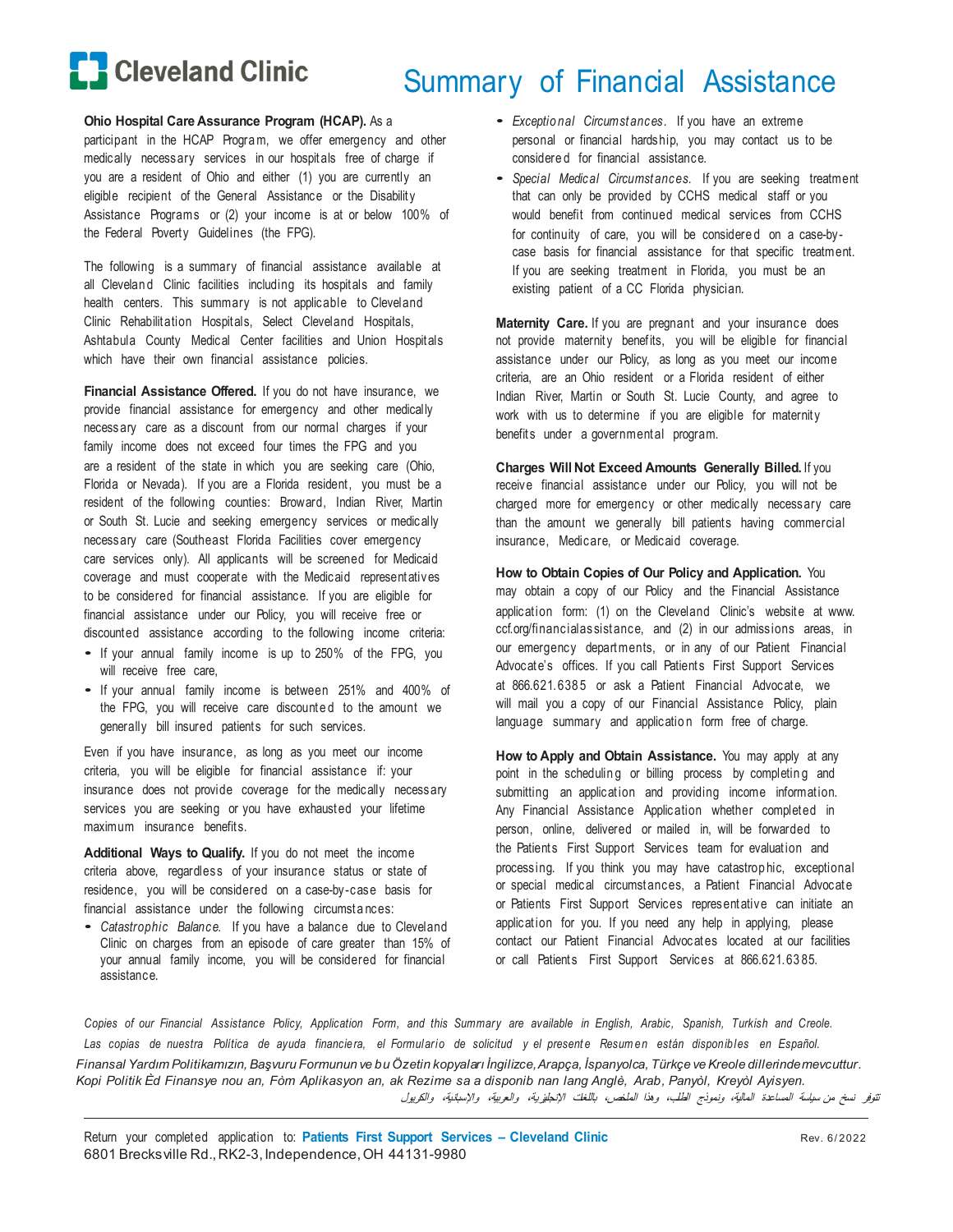

# Summary of Financial Assistance

### **Ohio Hospital Care Assurance Program (HCAP).** As a

participant in the HCAP Progra m, we offer emergency and other medically necessary services in our hospitals free of charge if you are a resident of Ohio and either (1) you are currently an eligible recipient of the General Assistance or the Disability Assistance Programs or (2) your income is at or below 100% of the Federal Poverty Guidelines (the FPG).

The following is a summary of financial assistance available at all Clevelan d Clinic facilities including its hospitals and family health centers. This summary is not applicable to Cleveland Clinic Rehabilitation Hospitals, Select Cleveland Hospitals, Ashtabula County Medical Center facilities and Union Hospitals which have their own financial assistance policies.

**Financial Assistance Offered.** If you do not have insurance, we provide financial assistance for emergency and other medically necessary care as a discount from our normal charges if your family income does not exceed four times the FPG and you are a resident of the state in which you are seeking care (Ohio, Florida or Nevada). If you are a Florida resident, you must be a resident of the following counties: Broward, Indian River, Martin or South St. Lucie and seeking emergency services or medically necessary care (Southeast Florida Facilities cover emergency care services only). All applicants will be screened for Medicaid coverage and must cooperate with the Medicaid representatives to be considered for financial assistance. If you are eligible for financial assistance under our Policy, you will receive free or discounted assistance according to the following income criteria:

- If your annual family income is up to 250% of the FPG, you will receive free care,
- If your annual family income is between 251% and 400% of the FPG, you will receive care discounte d to the amount we generally bill insured patients for such services.

Even if you have insurance, as long as you meet our income criteria, you will be eligible for financial assistance if: your insurance does not provide coverage for the medically necessary services you are seeking or you have exhausted your lifetime maximum insurance benefits.

**Additional Ways to Qualify.** If you do not meet the income criteria above, regardless of your insurance status or state of residence, you will be considered on a case-by -case basis for financial assistance under the following circumstances:

• *Catastrophic Balance.* If you have a balance due to Cleveland Clinic on charges from an episode of care greater than 15% of your annual family income, you will be considered for financial assistance.

- *Exceptio nal Circumstances.* If you have an extreme personal or financial hardship, you may contact us to be considere d for financial assistance.
- *Special Medical Circumstances.* If you are seeking treatment that can only be provided by CCHS medical staff or you would benefit from continued medical services from CCHS for continuity of care, you will be considered on a case-bycase basis for financial assistance for that specific treatment. If you are seeking treatment in Florida, you must be an existing patient of a CC Florida physician.

**Maternity Care.** If you are pregnant and your insurance does not provide maternity benefits, you will be eligible for financial assistance under our Policy, as long as you meet our income criteria, are an Ohio resident or a Florida resident of either Indian River, Martin or South St. Lucie County, and agree to work with us to determine if you are eligible for maternity benefits under a governmental program.

**Charges Will Not Exceed Amounts Generally Billed.** If you receive financial assistance under our Policy, you will not be charged more for emergency or other medically necessary care than the amount we generally bill patients having commercial insurance, Medicare, or Medicaid coverage.

**How to Obtain Copies of Our Policy and Application.** You may obtain a copy of our Policy and the Financial Assistance application form: (1) on the Cleveland Clinic's website at [www.](http://www/) ccf.org/financialassistance, and (2) in our admissions areas, in our emergency departments, or in any of our Patient Financial Advocate's offices. If you call Patients First Support Services at 866.621.6385 or ask a Patient Financial Advocate, we will mail you a copy of our Financial Assistance Policy, plain language summary and application form free of charge.

**How to Apply and Obtain Assistance.** You may apply at any point in the scheduling or billing process by completing and submitting an application and providing income information. Any Financial Assistance Application whether completed in person, online, delivered or mailed in, will be forwarded to the Patients First Support Services team for evaluation and processing. If you think you may have catastrop hic, exceptional or special medical circumst ances, a Patient Financial Advocate or Patients First Support Services representative can initiate an application for you. If you need any help in applying, please contact our Patient Financial Advocates located at our facilities or call Patients First Support Services at 866.621.6385.

Copies of our Financial Assistance Policy, Application Form, and this Summary are available in English, Arabic, Spanish, Turkish and Creole. Las copias de nuestra Política de ayuda financiera, el Formulario de solicitud y el presente Resumen están disponibles en Español. *Finansal Yardım Politikamızın, Başvuru Formunun ve bu Özetin kopyaları İngilizce, Arapça, İspanyolca, Türkçe ve Kreole dillerinde mevcuttur*. *Kopi Politik Èd Finansye nou an, Fòm Aplikasyon an, ak Rezime sa a disponib nan lang Anglè, Arab, Panyòl, Kreyòl Ayisyen.* تتوفر نسخ من سیاسة المساعدة المالیة، ونموذج الطلب، وھذا الملخص، باللغات الإنجلیزیة، والعربیة، والإسبانیة، والكریول